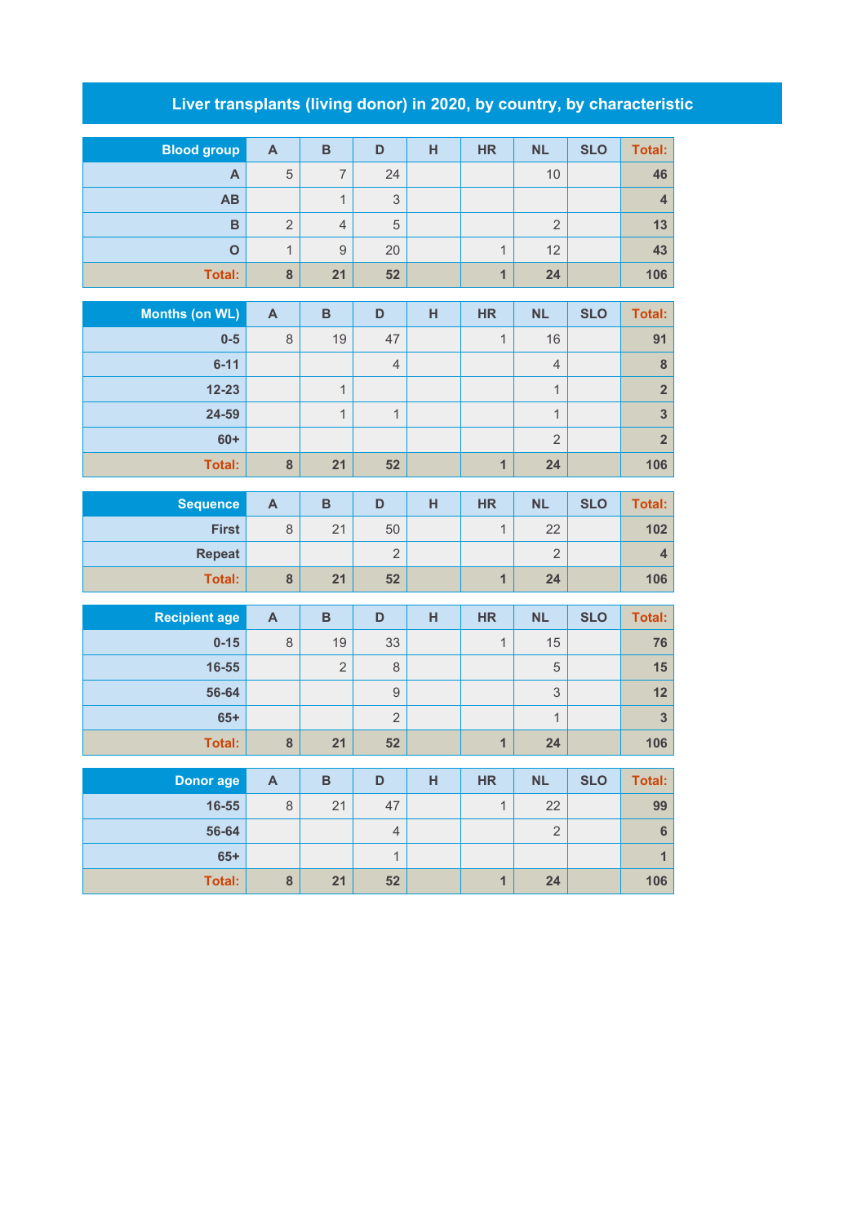## **Liver transplants (living donor) in 2020, by country, by characteristic**

| <b>Blood group</b> | A              | B                        | D  | н | <b>HR</b>      | <b>NL</b> | <b>SLO</b> | Total: |
|--------------------|----------------|--------------------------|----|---|----------------|-----------|------------|--------|
| A                  | 5              | $\overline{\phantom{0}}$ | 24 |   |                | 10        |            | 46     |
| <b>AB</b>          |                | Α                        | 3  |   |                |           |            |        |
| B                  | $\overline{2}$ | $\overline{4}$           | 5  |   |                | ◠         |            | 13     |
| O                  | ◢              | 9                        | 20 |   | 4              | 12        |            | 43     |
| Total:             | 8              | 21                       | 52 |   | $\overline{A}$ | 24        |            | 106    |

| Months (on WL) | $\mathsf{A}$ | B  | D              | н | <b>HR</b> | <b>NL</b>      | <b>SLO</b> | Total:         |
|----------------|--------------|----|----------------|---|-----------|----------------|------------|----------------|
| $0-5$          | 8            | 19 | 47             |   | и         | 16             |            | 91             |
| $6 - 11$       |              |    | $\overline{4}$ |   |           | $\overline{4}$ |            | 8              |
| $12 - 23$      |              |    |                |   |           | $\overline{ }$ |            | 2 <sup>1</sup> |
| 24-59          |              |    |                |   |           | $\overline{ }$ |            | 3              |
| $60+$          |              |    |                |   |           | $\overline{2}$ |            | 2 <sub>1</sub> |
| <b>Total:</b>  | 8            | 21 | 52             |   |           | 24             |            | 106            |

| <b>Sequence</b> | A              | в  | D           | н | <b>HR</b> | <b>NL</b>     | <b>SLO</b> | Total: |
|-----------------|----------------|----|-------------|---|-----------|---------------|------------|--------|
| <b>First</b>    | 8              | 21 | 50          |   |           | 22            |            | 102    |
| <b>Repeat</b>   |                |    | $\sim$<br>∼ |   |           | $\Omega$<br>∠ |            |        |
| Total:          | $\bullet$<br>ο | 21 | 52          |   |           | 24            |            | 106    |

| <b>Recipient age</b> | A | B              | D             | н | <b>HR</b> | <b>NL</b> | <b>SLO</b> | Total: |
|----------------------|---|----------------|---------------|---|-----------|-----------|------------|--------|
| $0 - 15$             | 8 | 19             | 33            |   |           | 15        |            | 76     |
| 16-55                |   | $\overline{2}$ | 8             |   |           | 5         |            | 15     |
| 56-64                |   |                | 9             |   |           | 3         |            | 12     |
| $65+$                |   |                | $\Omega$<br>∠ |   |           | и         |            | 3      |
| Total:               | 8 | 21             | 52            |   |           | 24        |            | 106    |

| Donor age     | A | B  | D  | н | <b>HR</b> | <b>NL</b>     | <b>SLO</b> | Total: |
|---------------|---|----|----|---|-----------|---------------|------------|--------|
| 16-55         | 8 | 21 | 47 |   |           | 22            |            | 99     |
| 56-64         |   |    | 4  |   |           | $\Omega$<br>∠ |            | 6      |
| $65+$         |   |    |    |   |           |               |            |        |
| <b>Total:</b> | 8 | 21 | 52 |   |           | 24            |            | 106    |